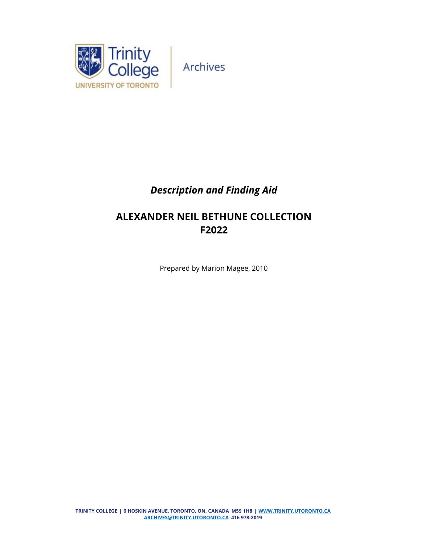

# *Description and Finding Aid*

# **ALEXANDER NEIL BETHUNE COLLECTION F2022**

Prepared by Marion Magee, 2010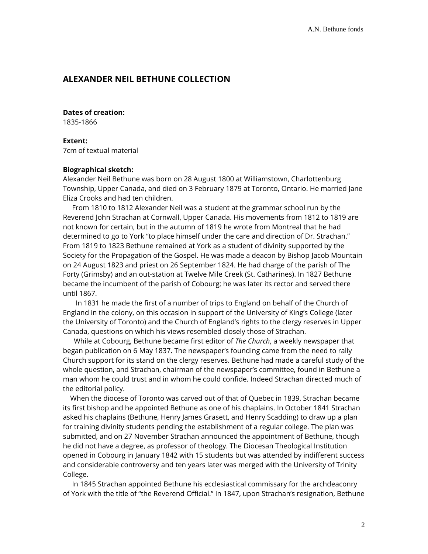# **ALEXANDER NEIL BETHUNE COLLECTION**

**Dates of creation:** 

1835-1866

**Extent:**  7cm of textual material

## **Biographical sketch:**

Alexander Neil Bethune was born on 28 August 1800 at Williamstown, Charlottenburg Township, Upper Canada, and died on 3 February 1879 at Toronto, Ontario. He married Jane Eliza Crooks and had ten children.

 From 1810 to 1812 Alexander Neil was a student at the grammar school run by the Reverend John Strachan at Cornwall, Upper Canada. His movements from 1812 to 1819 are not known for certain, but in the autumn of 1819 he wrote from Montreal that he had determined to go to York "to place himself under the care and direction of Dr. Strachan." From 1819 to 1823 Bethune remained at York as a student of divinity supported by the Society for the Propagation of the Gospel. He was made a deacon by Bishop Jacob Mountain on 24 August 1823 and priest on 26 September 1824. He had charge of the parish of The Forty (Grimsby) and an out-station at Twelve Mile Creek (St. Catharines). In 1827 Bethune became the incumbent of the parish of Cobourg; he was later its rector and served there until 1867.

 In 1831 he made the first of a number of trips to England on behalf of the Church of England in the colony, on this occasion in support of the University of King's College (later the University of Toronto) and the Church of England's rights to the clergy reserves in Upper Canada, questions on which his views resembled closely those of Strachan.

 While at Cobourg, Bethune became first editor of *The Church*, a weekly newspaper that began publication on 6 May 1837. The newspaper's founding came from the need to rally Church support for its stand on the clergy reserves. Bethune had made a careful study of the whole question, and Strachan, chairman of the newspaper's committee, found in Bethune a man whom he could trust and in whom he could confide. Indeed Strachan directed much of the editorial policy.

 When the diocese of Toronto was carved out of that of Quebec in 1839, Strachan became its first bishop and he appointed Bethune as one of his chaplains. In October 1841 Strachan asked his chaplains (Bethune, Henry James Grasett, and Henry Scadding) to draw up a plan for training divinity students pending the establishment of a regular college. The plan was submitted, and on 27 November Strachan announced the appointment of Bethune, though he did not have a degree, as professor of theology. The Diocesan Theological Institution opened in Cobourg in January 1842 with 15 students but was attended by indifferent success and considerable controversy and ten years later was merged with the University of Trinity College.

 In 1845 Strachan appointed Bethune his ecclesiastical commissary for the archdeaconry of York with the title of "the Reverend Official." In 1847, upon Strachan's resignation, Bethune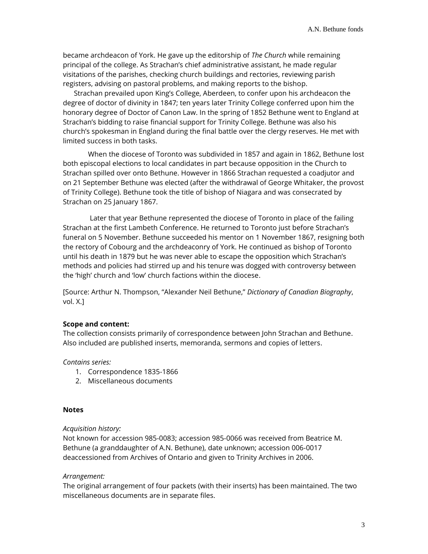became archdeacon of York. He gave up the editorship of *The Church* while remaining principal of the college. As Strachan's chief administrative assistant, he made regular visitations of the parishes, checking church buildings and rectories, reviewing parish registers, advising on pastoral problems, and making reports to the bishop.

 Strachan prevailed upon King's College, Aberdeen, to confer upon his archdeacon the degree of doctor of divinity in 1847; ten years later Trinity College conferred upon him the honorary degree of Doctor of Canon Law. In the spring of 1852 Bethune went to England at Strachan's bidding to raise financial support for Trinity College. Bethune was also his church's spokesman in England during the final battle over the clergy reserves. He met with limited success in both tasks.

When the diocese of Toronto was subdivided in 1857 and again in 1862, Bethune lost both episcopal elections to local candidates in part because opposition in the Church to Strachan spilled over onto Bethune. However in 1866 Strachan requested a coadjutor and on 21 September Bethune was elected (after the withdrawal of George Whitaker, the provost of Trinity College). Bethune took the title of bishop of Niagara and was consecrated by Strachan on 25 January 1867.

Later that year Bethune represented the diocese of Toronto in place of the failing Strachan at the first Lambeth Conference. He returned to Toronto just before Strachan's funeral on 5 November. Bethune succeeded his mentor on 1 November 1867, resigning both the rectory of Cobourg and the archdeaconry of York. He continued as bishop of Toronto until his death in 1879 but he was never able to escape the opposition which Strachan's methods and policies had stirred up and his tenure was dogged with controversy between the 'high' church and 'low' church factions within the diocese.

[Source: Arthur N. Thompson, "Alexander Neil Bethune," *Dictionary of Canadian Biography*, vol. X.]

## **Scope and content:**

The collection consists primarily of correspondence between John Strachan and Bethune. Also included are published inserts, memoranda, sermons and copies of letters.

### *Contains series:*

- 1. Correspondence 1835-1866
- 2. Miscellaneous documents

#### **Notes**

## *Acquisition history:*

Not known for accession 985-0083; accession 985-0066 was received from Beatrice M. Bethune (a granddaughter of A.N. Bethune), date unknown; accession 006-0017 deaccessioned from Archives of Ontario and given to Trinity Archives in 2006.

### *Arrangement:*

The original arrangement of four packets (with their inserts) has been maintained. The two miscellaneous documents are in separate files.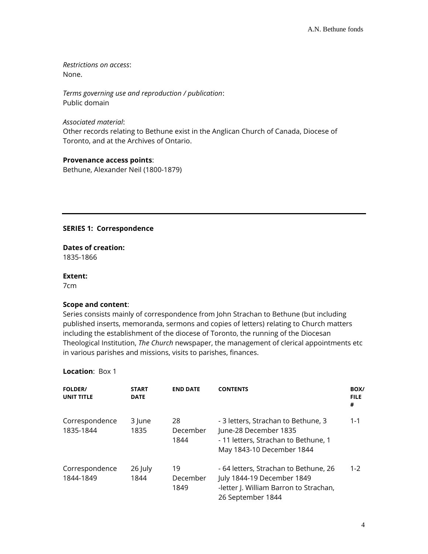*Restrictions on access*: None.

*Terms governing use and reproduction / publication*: Public domain

*Associated material*:

Other records relating to Bethune exist in the Anglican Church of Canada, Diocese of Toronto, and at the Archives of Ontario.

# **Provenance access points**:

Bethune, Alexander Neil (1800-1879)

## **SERIES 1: Correspondence**

**Dates of creation:**  1835-1866

### **Extent:**

7cm

## **Scope and content**:

Series consists mainly of correspondence from John Strachan to Bethune (but including published inserts, memoranda, sermons and copies of letters) relating to Church matters including the establishment of the diocese of Toronto, the running of the Diocesan Theological Institution, *The Church* newspaper, the management of clerical appointments etc in various parishes and missions, visits to parishes, finances.

## **Location**: Box 1

| <b>FOLDER/</b><br><b>UNIT TITLE</b> | <b>START</b><br><b>DATE</b> | <b>END DATE</b>        | <b>CONTENTS</b>                                                                                                                    | BOX/<br><b>FILE</b><br># |
|-------------------------------------|-----------------------------|------------------------|------------------------------------------------------------------------------------------------------------------------------------|--------------------------|
| Correspondence<br>1835-1844         | 3 lune<br>1835              | 28<br>December<br>1844 | - 3 letters, Strachan to Bethune, 3<br>June-28 December 1835<br>- 11 letters, Strachan to Bethune, 1<br>May 1843-10 December 1844  | $1 - 1$                  |
| Correspondence<br>1844-1849         | 26 July<br>1844             | 19<br>December<br>1849 | - 64 letters, Strachan to Bethune, 26<br>July 1844-19 December 1849<br>-letter J. William Barron to Strachan,<br>26 September 1844 | $1 - 2$                  |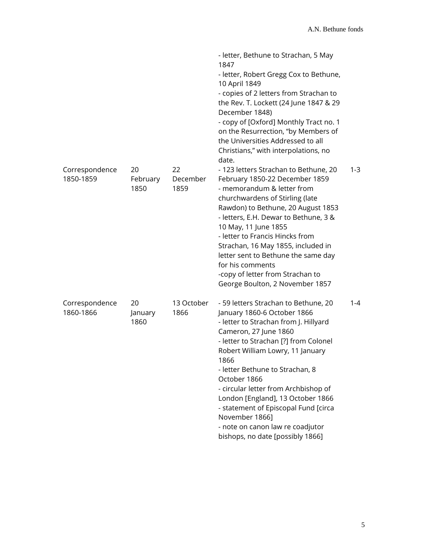|                             |                        |                        | - letter, Bethune to Strachan, 5 May<br>1847<br>- letter, Robert Gregg Cox to Bethune,<br>10 April 1849<br>- copies of 2 letters from Strachan to<br>the Rev. T. Lockett (24 June 1847 & 29<br>December 1848)<br>- copy of [Oxford] Monthly Tract no. 1<br>on the Resurrection, "by Members of<br>the Universities Addressed to all<br>Christians," with interpolations, no<br>date.                                                                                                         |         |
|-----------------------------|------------------------|------------------------|----------------------------------------------------------------------------------------------------------------------------------------------------------------------------------------------------------------------------------------------------------------------------------------------------------------------------------------------------------------------------------------------------------------------------------------------------------------------------------------------|---------|
| Correspondence<br>1850-1859 | 20<br>February<br>1850 | 22<br>December<br>1859 | - 123 letters Strachan to Bethune, 20<br>February 1850-22 December 1859<br>- memorandum & letter from<br>churchwardens of Stirling (late<br>Rawdon) to Bethune, 20 August 1853<br>- letters, E.H. Dewar to Bethune, 3 &<br>10 May, 11 June 1855<br>- letter to Francis Hincks from<br>Strachan, 16 May 1855, included in<br>letter sent to Bethune the same day<br>for his comments<br>-copy of letter from Strachan to<br>George Boulton, 2 November 1857                                   | $1 - 3$ |
| Correspondence<br>1860-1866 | 20<br>January<br>1860  | 13 October<br>1866     | - 59 letters Strachan to Bethune, 20<br>January 1860-6 October 1866<br>- letter to Strachan from J. Hillyard<br>Cameron, 27 June 1860<br>- letter to Strachan [?] from Colonel<br>Robert William Lowry, 11 January<br>1866<br>- letter Bethune to Strachan, 8<br>October 1866<br>- circular letter from Archbishop of<br>London [England], 13 October 1866<br>- statement of Episcopal Fund [circa<br>November 1866]<br>- note on canon law re coadjutor<br>bishops, no date [possibly 1866] | $1 - 4$ |